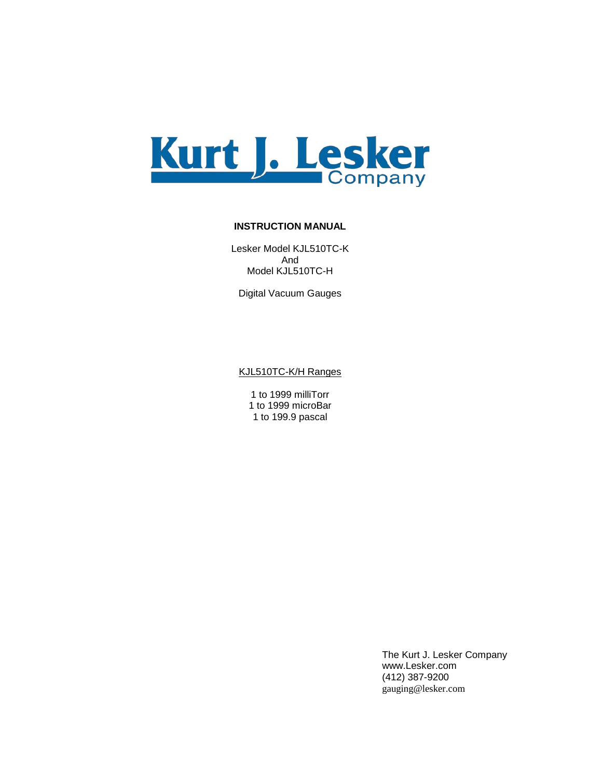

#### **INSTRUCTION MANUAL**

Lesker Model KJL510TC-K And Model KJL510TC-H

Digital Vacuum Gauges

KJL510TC-K/H Ranges

1 to 1999 milliTorr 1 to 1999 microBar 1 to 199.9 pascal

> The Kurt J. Lesker Company www.Lesker.com (412) 387-9200 gauging@lesker.com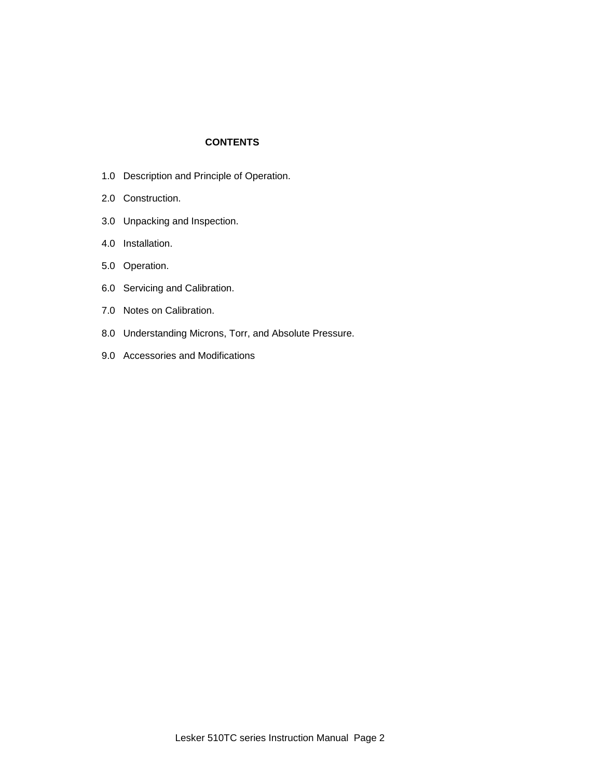# **CONTENTS**

- 1.0 Description and Principle of Operation.
- 2.0 Construction.
- 3.0 Unpacking and Inspection.
- 4.0 Installation.
- 5.0 Operation.
- 6.0 Servicing and Calibration.
- 7.0 Notes on Calibration.
- 8.0 Understanding Microns, Torr, and Absolute Pressure.
- 9.0 Accessories and Modifications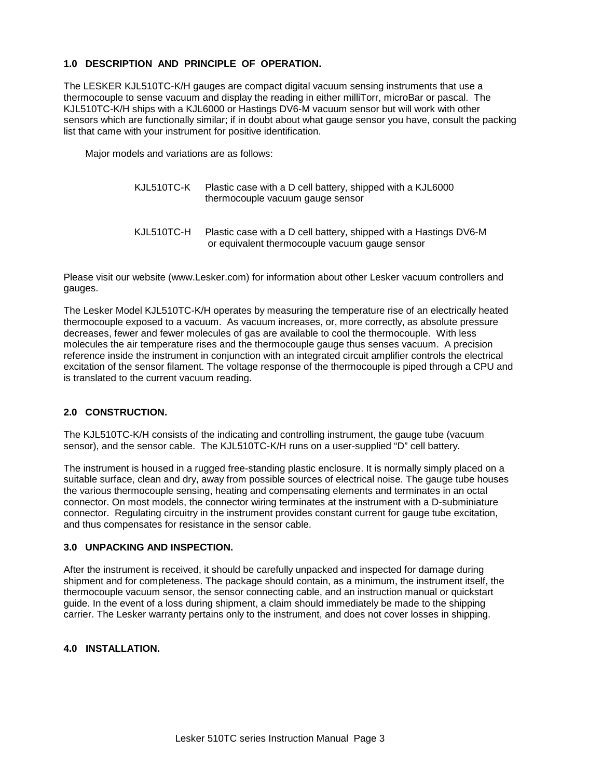#### **1.0 DESCRIPTION AND PRINCIPLE OF OPERATION.**

The LESKER KJL510TC-K/H gauges are compact digital vacuum sensing instruments that use a thermocouple to sense vacuum and display the reading in either milliTorr, microBar or pascal. The KJL510TC-K/H ships with a KJL6000 or Hastings DV6-M vacuum sensor but will work with other sensors which are functionally similar; if in doubt about what gauge sensor you have, consult the packing list that came with your instrument for positive identification.

Major models and variations are as follows:

| KJL510TC-K | Plastic case with a D cell battery, shipped with a KJL6000<br>thermocouple vacuum gauge sensor                      |
|------------|---------------------------------------------------------------------------------------------------------------------|
| KJL510TC-H | Plastic case with a D cell battery, shipped with a Hastings DV6-M<br>or equivalent thermocouple vacuum gauge sensor |

Please visit our website (www.Lesker.com) for information about other Lesker vacuum controllers and gauges.

The Lesker Model KJL510TC-K/H operates by measuring the temperature rise of an electrically heated thermocouple exposed to a vacuum. As vacuum increases, or, more correctly, as absolute pressure decreases, fewer and fewer molecules of gas are available to cool the thermocouple. With less molecules the air temperature rises and the thermocouple gauge thus senses vacuum. A precision reference inside the instrument in conjunction with an integrated circuit amplifier controls the electrical excitation of the sensor filament. The voltage response of the thermocouple is piped through a CPU and is translated to the current vacuum reading.

#### **2.0 CONSTRUCTION.**

The KJL510TC-K/H consists of the indicating and controlling instrument, the gauge tube (vacuum sensor), and the sensor cable. The KJL510TC-K/H runs on a user-supplied "D" cell battery.

The instrument is housed in a rugged free-standing plastic enclosure. It is normally simply placed on a suitable surface, clean and dry, away from possible sources of electrical noise. The gauge tube houses the various thermocouple sensing, heating and compensating elements and terminates in an octal connector. On most models, the connector wiring terminates at the instrument with a D-subminiature connector. Regulating circuitry in the instrument provides constant current for gauge tube excitation, and thus compensates for resistance in the sensor cable.

#### **3.0 UNPACKING AND INSPECTION.**

After the instrument is received, it should be carefully unpacked and inspected for damage during shipment and for completeness. The package should contain, as a minimum, the instrument itself, the thermocouple vacuum sensor, the sensor connecting cable, and an instruction manual or quickstart guide. In the event of a loss during shipment, a claim should immediately be made to the shipping carrier. The Lesker warranty pertains only to the instrument, and does not cover losses in shipping.

## **4.0 INSTALLATION.**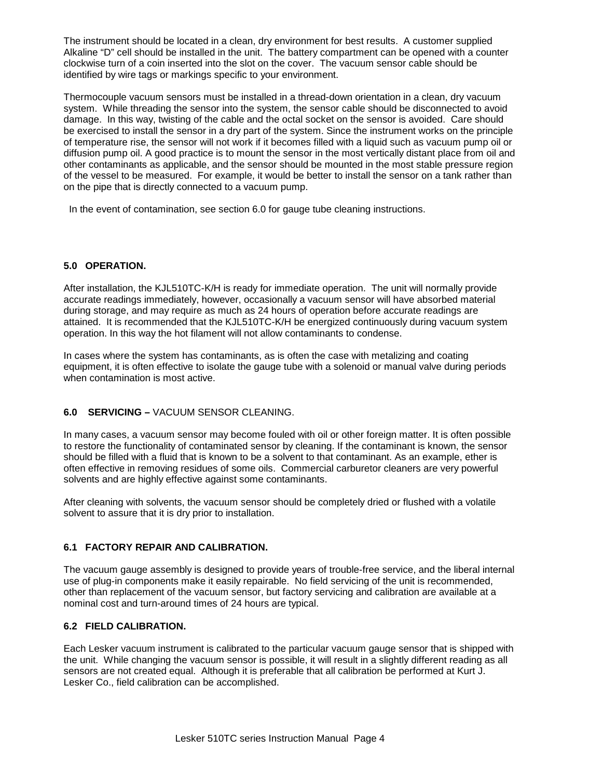The instrument should be located in a clean, dry environment for best results. A customer supplied Alkaline "D" cell should be installed in the unit. The battery compartment can be opened with a counter clockwise turn of a coin inserted into the slot on the cover. The vacuum sensor cable should be identified by wire tags or markings specific to your environment.

Thermocouple vacuum sensors must be installed in a thread-down orientation in a clean, dry vacuum system. While threading the sensor into the system, the sensor cable should be disconnected to avoid damage. In this way, twisting of the cable and the octal socket on the sensor is avoided. Care should be exercised to install the sensor in a dry part of the system. Since the instrument works on the principle of temperature rise, the sensor will not work if it becomes filled with a liquid such as vacuum pump oil or diffusion pump oil. A good practice is to mount the sensor in the most vertically distant place from oil and other contaminants as applicable, and the sensor should be mounted in the most stable pressure region of the vessel to be measured. For example, it would be better to install the sensor on a tank rather than on the pipe that is directly connected to a vacuum pump.

In the event of contamination, see section 6.0 for gauge tube cleaning instructions.

# **5.0 OPERATION.**

After installation, the KJL510TC-K/H is ready for immediate operation. The unit will normally provide accurate readings immediately, however, occasionally a vacuum sensor will have absorbed material during storage, and may require as much as 24 hours of operation before accurate readings are attained. It is recommended that the KJL510TC-K/H be energized continuously during vacuum system operation. In this way the hot filament will not allow contaminants to condense.

In cases where the system has contaminants, as is often the case with metalizing and coating equipment, it is often effective to isolate the gauge tube with a solenoid or manual valve during periods when contamination is most active.

# **6.0 SERVICING –** VACUUM SENSOR CLEANING.

In many cases, a vacuum sensor may become fouled with oil or other foreign matter. It is often possible to restore the functionality of contaminated sensor by cleaning. If the contaminant is known, the sensor should be filled with a fluid that is known to be a solvent to that contaminant. As an example, ether is often effective in removing residues of some oils. Commercial carburetor cleaners are very powerful solvents and are highly effective against some contaminants.

After cleaning with solvents, the vacuum sensor should be completely dried or flushed with a volatile solvent to assure that it is dry prior to installation.

# **6.1 FACTORY REPAIR AND CALIBRATION.**

The vacuum gauge assembly is designed to provide years of trouble-free service, and the liberal internal use of plug-in components make it easily repairable. No field servicing of the unit is recommended, other than replacement of the vacuum sensor, but factory servicing and calibration are available at a nominal cost and turn-around times of 24 hours are typical.

# **6.2 FIELD CALIBRATION.**

Each Lesker vacuum instrument is calibrated to the particular vacuum gauge sensor that is shipped with the unit. While changing the vacuum sensor is possible, it will result in a slightly different reading as all sensors are not created equal. Although it is preferable that all calibration be performed at Kurt J. Lesker Co., field calibration can be accomplished.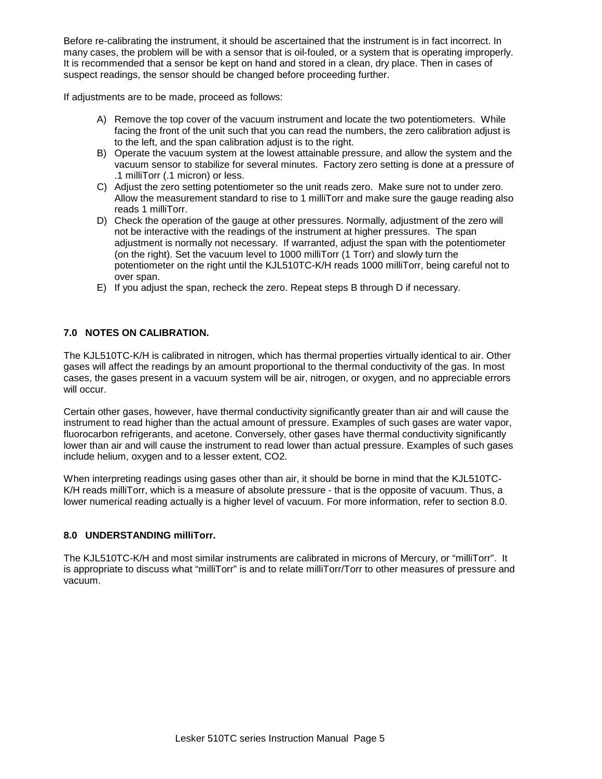Before re-calibrating the instrument, it should be ascertained that the instrument is in fact incorrect. In many cases, the problem will be with a sensor that is oil-fouled, or a system that is operating improperly. It is recommended that a sensor be kept on hand and stored in a clean, dry place. Then in cases of suspect readings, the sensor should be changed before proceeding further.

If adjustments are to be made, proceed as follows:

- A) Remove the top cover of the vacuum instrument and locate the two potentiometers. While facing the front of the unit such that you can read the numbers, the zero calibration adjust is to the left, and the span calibration adjust is to the right.
- B) Operate the vacuum system at the lowest attainable pressure, and allow the system and the vacuum sensor to stabilize for several minutes. Factory zero setting is done at a pressure of .1 milliTorr (.1 micron) or less.
- C) Adjust the zero setting potentiometer so the unit reads zero. Make sure not to under zero. Allow the measurement standard to rise to 1 milliTorr and make sure the gauge reading also reads 1 milliTorr.
- D) Check the operation of the gauge at other pressures. Normally, adjustment of the zero will not be interactive with the readings of the instrument at higher pressures. The span adjustment is normally not necessary. If warranted, adjust the span with the potentiometer (on the right). Set the vacuum level to 1000 milliTorr (1 Torr) and slowly turn the potentiometer on the right until the KJL510TC-K/H reads 1000 milliTorr, being careful not to over span.
- E) If you adjust the span, recheck the zero. Repeat steps B through D if necessary.

# **7.0 NOTES ON CALIBRATION.**

The KJL510TC-K/H is calibrated in nitrogen, which has thermal properties virtually identical to air. Other gases will affect the readings by an amount proportional to the thermal conductivity of the gas. In most cases, the gases present in a vacuum system will be air, nitrogen, or oxygen, and no appreciable errors will occur.

Certain other gases, however, have thermal conductivity significantly greater than air and will cause the instrument to read higher than the actual amount of pressure. Examples of such gases are water vapor, fluorocarbon refrigerants, and acetone. Conversely, other gases have thermal conductivity significantly lower than air and will cause the instrument to read lower than actual pressure. Examples of such gases include helium, oxygen and to a lesser extent, CO2.

When interpreting readings using gases other than air, it should be borne in mind that the KJL510TC-K/H reads milliTorr, which is a measure of absolute pressure - that is the opposite of vacuum. Thus, a lower numerical reading actually is a higher level of vacuum. For more information, refer to section 8.0.

#### **8.0 UNDERSTANDING milliTorr.**

The KJL510TC-K/H and most similar instruments are calibrated in microns of Mercury, or "milliTorr". It is appropriate to discuss what "milliTorr" is and to relate milliTorr/Torr to other measures of pressure and vacuum.